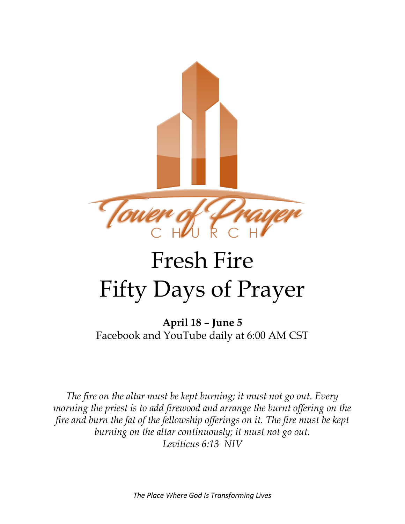

## Fresh Fire Fifty Days of Prayer

**April 18 – June 5** Facebook and YouTube daily at 6:00 AM CST

*The fire on the altar must be kept burning; it must not go out. Every morning the priest is to add firewood and arrange the burnt offering on the fire and burn the fat of the fellowship offerings on it. The fire must be kept burning on the altar continuously; it must not go out. Leviticus 6:13 NIV*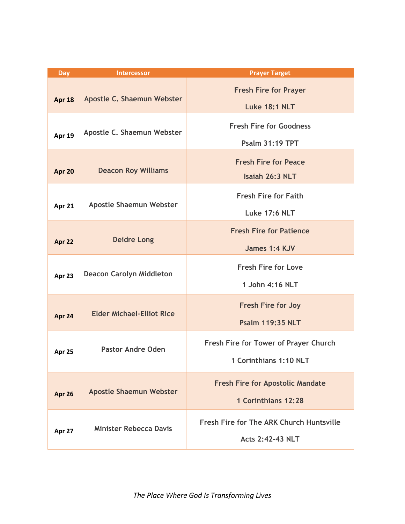| <b>Day</b>    | <b>Intercessor</b>               | <b>Prayer Target</b>                                                |
|---------------|----------------------------------|---------------------------------------------------------------------|
| Apr 18        | Apostle C. Shaemun Webster       | <b>Fresh Fire for Prayer</b><br><b>Luke 18:1 NLT</b>                |
| <b>Apr 19</b> | Apostle C. Shaemun Webster       | <b>Fresh Fire for Goodness</b><br><b>Psalm 31:19 TPT</b>            |
| Apr 20        | <b>Deacon Roy Williams</b>       | <b>Fresh Fire for Peace</b><br>Isaiah 26:3 NLT                      |
| Apr 21        | Apostle Shaemun Webster          | <b>Fresh Fire for Faith</b><br><b>Luke 17:6 NLT</b>                 |
| Apr 22        | <b>Deidre Long</b>               | <b>Fresh Fire for Patience</b><br>James 1:4 KJV                     |
| Apr 23        | <b>Deacon Carolyn Middleton</b>  | <b>Fresh Fire for Love</b><br>1 John 4:16 NLT                       |
| Apr 24        | <b>Elder Michael-Elliot Rice</b> | <b>Fresh Fire for Joy</b><br><b>Psalm 119:35 NLT</b>                |
| Apr 25        | <b>Pastor Andre Oden</b>         | Fresh Fire for Tower of Prayer Church<br>1 Corinthians 1:10 NLT     |
| Apr 26        | <b>Apostle Shaemun Webster</b>   | <b>Fresh Fire for Apostolic Mandate</b><br>1 Corinthians 12:28      |
| Apr 27        | <b>Minister Rebecca Davis</b>    | Fresh Fire for The ARK Church Huntsville<br><b>Acts 2:42-43 NLT</b> |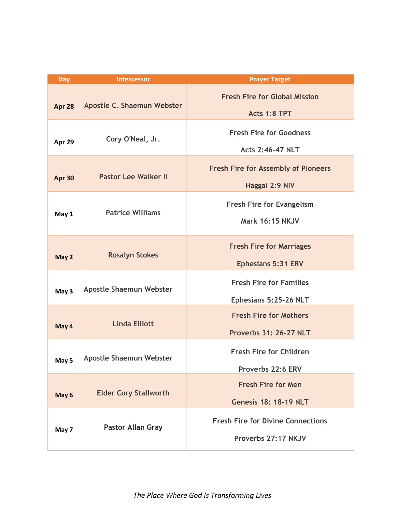| Day    | <b>Intercessor</b>             | <b>Prayer Target</b>                                 |
|--------|--------------------------------|------------------------------------------------------|
| Apr 28 | Apostle C. Shaemun Webster     | <b>Fresh Fire for Global Mission</b><br>Acts 1:8 TPT |
|        |                                |                                                      |
| Apr 29 | Cory O'Neal, Jr.               | <b>Fresh Fire for Goodness</b>                       |
|        |                                | <b>Acts 2:46-47 NLT</b>                              |
|        |                                | <b>Fresh Fire for Assembly of Pioneers</b>           |
| Apr 30 | <b>Pastor Lee Walker II</b>    |                                                      |
|        |                                | Haggai 2:9 NIV                                       |
|        | <b>Patrice Williams</b>        | <b>Fresh Fire for Evangelism</b>                     |
| May 1  |                                | <b>Mark 16:15 NKJV</b>                               |
|        |                                |                                                      |
|        |                                | <b>Fresh Fire for Marriages</b>                      |
| May 2  | <b>Rosalyn Stokes</b>          | <b>Ephesians 5:31 ERV</b>                            |
| May 3  | Apostle Shaemun Webster        | <b>Fresh Fire for Families</b>                       |
|        |                                |                                                      |
|        |                                | Ephesians 5:25-26 NLT                                |
| May 4  | <b>Linda Elliott</b>           | <b>Fresh Fire for Mothers</b>                        |
|        |                                | <b>Proverbs 31: 26-27 NLT</b>                        |
| May 5  | <b>Apostle Shaemun Webster</b> | <b>Fresh Fire for Children</b>                       |
|        |                                |                                                      |
|        |                                | Proverbs 22:6 ERV                                    |
| May 6  | <b>Elder Cory Stallworth</b>   | <b>Fresh Fire for Men</b>                            |
|        |                                | <b>Genesis 18: 18-19 NLT</b>                         |
| May 7  | <b>Pastor Allan Gray</b>       | <b>Fresh Fire for Divine Connections</b>             |
|        |                                |                                                      |
|        |                                | Proverbs 27:17 NKJV                                  |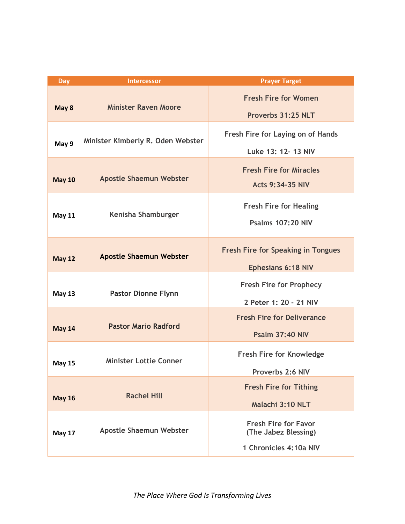| <b>Day</b>    | <b>Intercessor</b>                | <b>Prayer Target</b>                                                          |
|---------------|-----------------------------------|-------------------------------------------------------------------------------|
| May 8         | <b>Minister Raven Moore</b>       | <b>Fresh Fire for Women</b><br>Proverbs 31:25 NLT                             |
| May 9         | Minister Kimberly R. Oden Webster | Fresh Fire for Laying on of Hands<br>Luke 13: 12- 13 NIV                      |
| <b>May 10</b> | <b>Apostle Shaemun Webster</b>    | <b>Fresh Fire for Miracles</b><br><b>Acts 9:34-35 NIV</b>                     |
| <b>May 11</b> | Kenisha Shamburger                | <b>Fresh Fire for Healing</b><br><b>Psalms 107:20 NIV</b>                     |
| <b>May 12</b> | <b>Apostle Shaemun Webster</b>    | <b>Fresh Fire for Speaking in Tongues</b><br><b>Ephesians 6:18 NIV</b>        |
| <b>May 13</b> | <b>Pastor Dionne Flynn</b>        | <b>Fresh Fire for Prophecy</b><br>2 Peter 1: 20 - 21 NIV                      |
| <b>May 14</b> | <b>Pastor Mario Radford</b>       | <b>Fresh Fire for Deliverance</b><br><b>Psalm 37:40 NIV</b>                   |
| <b>May 15</b> | <b>Minister Lottie Conner</b>     | <b>Fresh Fire for Knowledge</b><br>Proverbs 2:6 NIV                           |
| <b>May 16</b> | <b>Rachel Hill</b>                | <b>Fresh Fire for Tithing</b><br>Malachi 3:10 NLT                             |
| <b>May 17</b> | <b>Apostle Shaemun Webster</b>    | <b>Fresh Fire for Favor</b><br>(The Jabez Blessing)<br>1 Chronicles 4:10a NIV |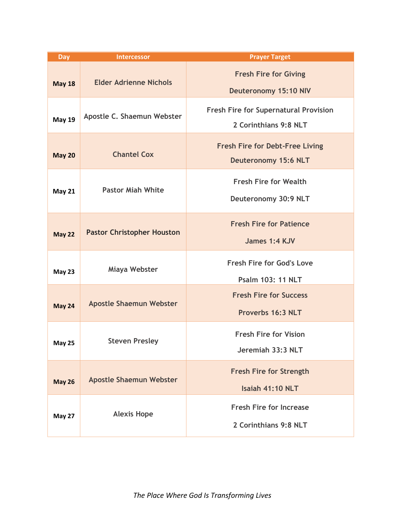| <b>Day</b>    | <b>Intercessor</b>                | <b>Prayer Target</b>                                                  |
|---------------|-----------------------------------|-----------------------------------------------------------------------|
| <b>May 18</b> | <b>Elder Adrienne Nichols</b>     | <b>Fresh Fire for Giving</b><br><b>Deuteronomy 15:10 NIV</b>          |
| <b>May 19</b> | Apostle C. Shaemun Webster        | <b>Fresh Fire for Supernatural Provision</b><br>2 Corinthians 9:8 NLT |
| <b>May 20</b> | <b>Chantel Cox</b>                | <b>Fresh Fire for Debt-Free Living</b><br><b>Deuteronomy 15:6 NLT</b> |
| <b>May 21</b> | <b>Pastor Miah White</b>          | <b>Fresh Fire for Wealth</b><br>Deuteronomy 30:9 NLT                  |
| <b>May 22</b> | <b>Pastor Christopher Houston</b> | <b>Fresh Fire for Patience</b><br>James 1:4 KJV                       |
| <b>May 23</b> | Miaya Webster                     | <b>Fresh Fire for God's Love</b><br><b>Psalm 103: 11 NLT</b>          |
| <b>May 24</b> | <b>Apostle Shaemun Webster</b>    | <b>Fresh Fire for Success</b><br>Proverbs 16:3 NLT                    |
| <b>May 25</b> | <b>Steven Presley</b>             | <b>Fresh Fire for Vision</b><br>Jeremiah 33:3 NLT                     |
| <b>May 26</b> | <b>Apostle Shaemun Webster</b>    | <b>Fresh Fire for Strength</b><br>Isaiah 41:10 NLT                    |
| May 27        | <b>Alexis Hope</b>                | <b>Fresh Fire for Increase</b><br>2 Corinthians 9:8 NLT               |